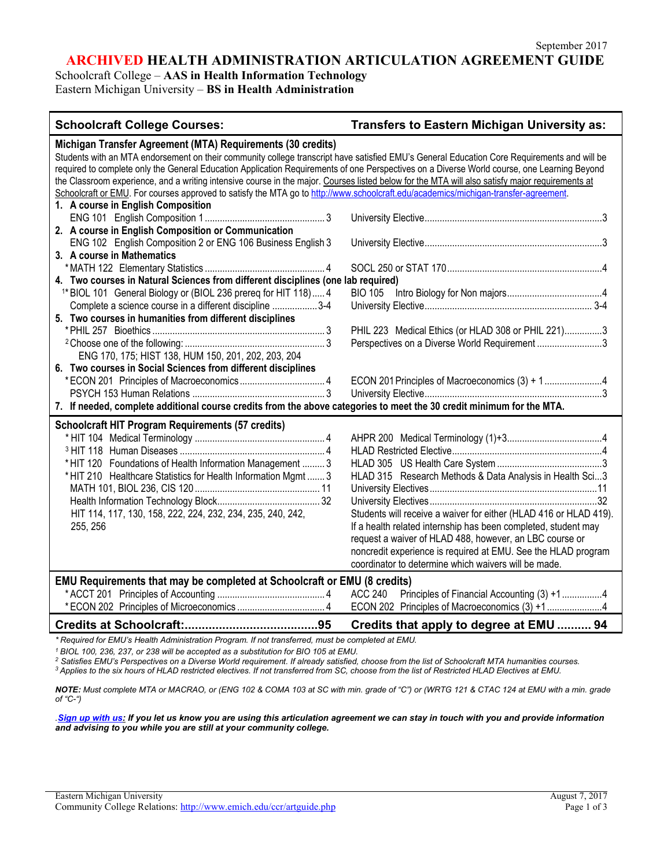**ARCHIVED HEALTH ADMINISTRATION ARTICULATION AGREEMENT GUIDE**

Schoolcraft College – **AAS in Health Information Technology** Eastern Michigan University – **BS in Health Administration**

| <b>Schoolcraft College Courses:</b>                                                                                                                                                                                                                                                                                                                                                                                                                                                                          | <b>Transfers to Eastern Michigan University as:</b>               |  |  |
|--------------------------------------------------------------------------------------------------------------------------------------------------------------------------------------------------------------------------------------------------------------------------------------------------------------------------------------------------------------------------------------------------------------------------------------------------------------------------------------------------------------|-------------------------------------------------------------------|--|--|
| Michigan Transfer Agreement (MTA) Requirements (30 credits)<br>Students with an MTA endorsement on their community college transcript have satisfied EMU's General Education Core Requirements and will be<br>required to complete only the General Education Application Requirements of one Perspectives on a Diverse World course, one Learning Beyond<br>the Classroom experience, and a writing intensive course in the major. Courses listed below for the MTA will also satisfy major requirements at |                                                                   |  |  |
| Schoolcraft or EMU. For courses approved to satisfy the MTA go to http://www.schoolcraft.edu/academics/michigan-transfer-agreement.<br>1. A course in English Composition                                                                                                                                                                                                                                                                                                                                    |                                                                   |  |  |
| 2. A course in English Composition or Communication                                                                                                                                                                                                                                                                                                                                                                                                                                                          |                                                                   |  |  |
| ENG 102 English Composition 2 or ENG 106 Business English 3<br>3. A course in Mathematics                                                                                                                                                                                                                                                                                                                                                                                                                    |                                                                   |  |  |
| 4. Two courses in Natural Sciences from different disciplines (one lab required)                                                                                                                                                                                                                                                                                                                                                                                                                             |                                                                   |  |  |
| <sup>1*</sup> BIOL 101 General Biology or (BIOL 236 prereq for HIT 118) 4<br>Complete a science course in a different discipline 3-4                                                                                                                                                                                                                                                                                                                                                                         | <b>BIO 105</b>                                                    |  |  |
| 5. Two courses in humanities from different disciplines                                                                                                                                                                                                                                                                                                                                                                                                                                                      |                                                                   |  |  |
|                                                                                                                                                                                                                                                                                                                                                                                                                                                                                                              | PHIL 223 Medical Ethics (or HLAD 308 or PHIL 221)3                |  |  |
|                                                                                                                                                                                                                                                                                                                                                                                                                                                                                                              | Perspectives on a Diverse World Requirement3                      |  |  |
| ENG 170, 175; HIST 138, HUM 150, 201, 202, 203, 204                                                                                                                                                                                                                                                                                                                                                                                                                                                          |                                                                   |  |  |
| 6. Two courses in Social Sciences from different disciplines                                                                                                                                                                                                                                                                                                                                                                                                                                                 |                                                                   |  |  |
|                                                                                                                                                                                                                                                                                                                                                                                                                                                                                                              | ECON 201 Principles of Macroeconomics (3) + 14                    |  |  |
| 7. If needed, complete additional course credits from the above categories to meet the 30 credit minimum for the MTA.                                                                                                                                                                                                                                                                                                                                                                                        |                                                                   |  |  |
| <b>Schoolcraft HIT Program Requirements (57 credits)</b>                                                                                                                                                                                                                                                                                                                                                                                                                                                     |                                                                   |  |  |
|                                                                                                                                                                                                                                                                                                                                                                                                                                                                                                              |                                                                   |  |  |
|                                                                                                                                                                                                                                                                                                                                                                                                                                                                                                              |                                                                   |  |  |
| * HIT 120 Foundations of Health Information Management  3                                                                                                                                                                                                                                                                                                                                                                                                                                                    |                                                                   |  |  |
| * HIT 210 Healthcare Statistics for Health Information Mgmt  3                                                                                                                                                                                                                                                                                                                                                                                                                                               | HLAD 315 Research Methods & Data Analysis in Health Sci3          |  |  |
|                                                                                                                                                                                                                                                                                                                                                                                                                                                                                                              |                                                                   |  |  |
|                                                                                                                                                                                                                                                                                                                                                                                                                                                                                                              |                                                                   |  |  |
| HIT 114, 117, 130, 158, 222, 224, 232, 234, 235, 240, 242,                                                                                                                                                                                                                                                                                                                                                                                                                                                   | Students will receive a waiver for either (HLAD 416 or HLAD 419). |  |  |
| 255, 256                                                                                                                                                                                                                                                                                                                                                                                                                                                                                                     | If a health related internship has been completed, student may    |  |  |
|                                                                                                                                                                                                                                                                                                                                                                                                                                                                                                              | request a waiver of HLAD 488, however, an LBC course or           |  |  |
|                                                                                                                                                                                                                                                                                                                                                                                                                                                                                                              | noncredit experience is required at EMU. See the HLAD program     |  |  |
|                                                                                                                                                                                                                                                                                                                                                                                                                                                                                                              | coordinator to determine which waivers will be made.              |  |  |
| EMU Requirements that may be completed at Schoolcraft or EMU (8 credits)                                                                                                                                                                                                                                                                                                                                                                                                                                     |                                                                   |  |  |
|                                                                                                                                                                                                                                                                                                                                                                                                                                                                                                              | ACC 240 Principles of Financial Accounting (3) +14                |  |  |
|                                                                                                                                                                                                                                                                                                                                                                                                                                                                                                              | ECON 202 Principles of Macroeconomics (3) +1 4                    |  |  |
|                                                                                                                                                                                                                                                                                                                                                                                                                                                                                                              | Credits that apply to degree at EMU  94                           |  |  |
| *Required for EMU's Health Administration Program. If not transferred, must be completed at EMU.                                                                                                                                                                                                                                                                                                                                                                                                             |                                                                   |  |  |

*<sup>1</sup> BIOL 100, 236, 237, or 238 will be accepted as a substitution for BIO 105 at EMU.*

*<sup>2</sup> Satisfies EMU's Perspectives on a Diverse World requirement. If already satisfied, choose from the list of Schoolcraft MTA humanities courses.*

*<sup>3</sup> Applies to the six hours of HLAD restricted electives. If not transferred from SC, choose from the list of Restricted HLAD Electives at EMU.* 

*NOTE: Must complete MTA or MACRAO, or (ENG 102 & COMA 103 at SC with min. grade of "C") or (WRTG 121 & CTAC 124 at EMU with a min. grade of "C-")*

*.[Sign up with us:](https://www.emich.edu/ccr/articulation-agreements/signup.php) If you let us know you are using this articulation agreement we can stay in touch with you and provide information and advising to you while you are still at your community college.*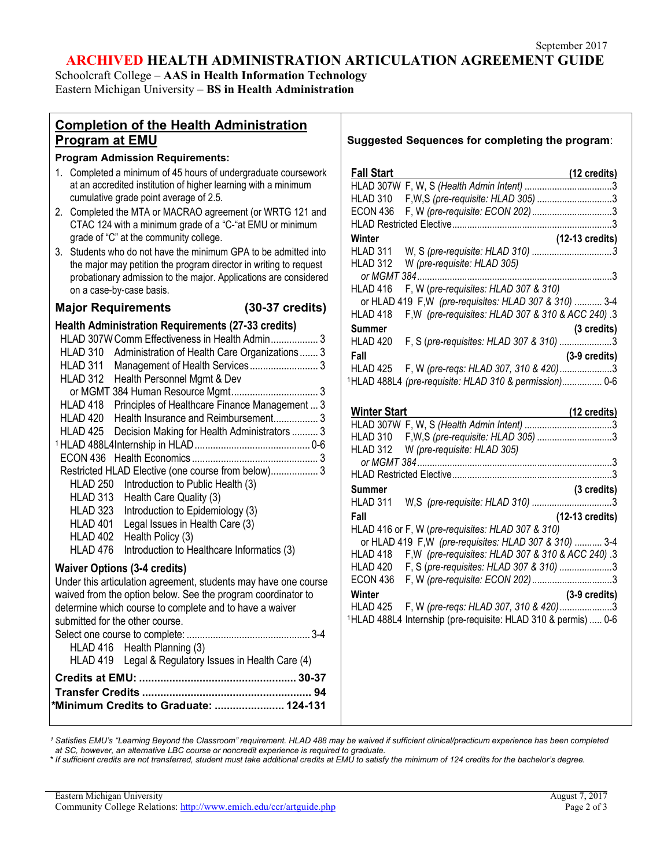# **ARCHIVED HEALTH ADMINISTRATION ARTICULATION AGREEMENT GUIDE**

Schoolcraft College – **AAS in Health Information Technology** Eastern Michigan University – **BS in Health Administration**

# **Completion of the Health Administration Program at EMU**

#### **Program Admission Requirements:**

- 1. Completed a minimum of 45 hours of undergraduate coursework at an accredited institution of higher learning with a minimum cumulative grade point average of 2.5.
- 2. Completed the MTA or MACRAO agreement (or WRTG 121 and CTAC 124 with a minimum grade of a "C-"at EMU or minimum grade of "C" at the community college.
- 3. Students who do not have the minimum GPA to be admitted into the major may petition the program director in writing to request probationary admission to the major. Applications are considered on a case-by-case basis.

# **Major Requirements (30-37 credits)**

# **Health Administration Requirements (27-33 credits)**

| HLAD 307W Comm Effectiveness in Health Admin 3             |  |
|------------------------------------------------------------|--|
| Administration of Health Care Organizations 3<br>HLAD 310  |  |
| HLAD 311                                                   |  |
| HLAD 312<br>Health Personnel Mgmt & Dev                    |  |
|                                                            |  |
| HLAD 418<br>Principles of Healthcare Finance Management  3 |  |
| HLAD 420<br>Health Insurance and Reimbursement 3           |  |
| HLAD 425 Decision Making for Health Administrators  3      |  |
|                                                            |  |
|                                                            |  |
| Restricted HLAD Elective (one course from below) 3         |  |
| HLAD 250 Introduction to Public Health (3)                 |  |
| HLAD 313 Health Care Quality (3)                           |  |
| HLAD 323<br>Introduction to Epidemiology (3)               |  |
| HLAD 401<br>Legal Issues in Health Care (3)                |  |
| HLAD 402<br>Health Policy (3)                              |  |
| HLAD 476<br>Introduction to Healthcare Informatics (3)     |  |
| .                                                          |  |

# **Waiver Options (3-4 credits)**

Under this articulation agreement, students may have one course waived from the option below. See the program coordinator to determine which course to complete and to have a waiver submitted for the other course. Select one course to complete: ............................................... 3-4 HLAD 416 Health Planning (3) HLAD 419 Legal & Regulatory Issues in Health Care (4) **Credits at EMU: .................................................... 30-37 Transfer Credits ........................................................ 94** *\****Minimum Credits to Graduate: ....................... 124-131**

## **Suggested Sequences for completing the program**:

| <b>Fall Start</b>   | (12 credits)                                                               |  |
|---------------------|----------------------------------------------------------------------------|--|
|                     | <u>ran start</u><br>HLAD 307W F, W, S (Health Admin Intent) 3              |  |
| HLAD 310            | F, W, S (pre-requisite: HLAD 305) 3                                        |  |
| <b>ECON 436</b>     |                                                                            |  |
|                     |                                                                            |  |
| Winter              | (12-13 credits)                                                            |  |
| HLAD 311            |                                                                            |  |
| HLAD 312            | W (pre-requisite: HLAD 305)                                                |  |
|                     |                                                                            |  |
| HLAD 416            | F, W (pre-requisites: HLAD 307 & 310)                                      |  |
|                     | or HLAD 419 F, W (pre-requisites: HLAD 307 & 310)  3-4                     |  |
| HLAD <sub>418</sub> | F, W (pre-requisites: HLAD 307 & 310 & ACC 240) .3                         |  |
| Summer              | (3 credits)                                                                |  |
| HLAD 420            | F, S (pre-requisites: HLAD 307 & 310) 3                                    |  |
| Fall                | $(3-9)$ credits)                                                           |  |
| HLAD 425            | F, W (pre-regs: HLAD 307, 310 & 420)3                                      |  |
|                     | <sup>1</sup> HLAD 488L4 (pre-requisite: HLAD 310 & permission) 0-6         |  |
|                     |                                                                            |  |
| <b>Winter Start</b> | (12 credits)                                                               |  |
|                     |                                                                            |  |
|                     | HLAD 310 F,W,S (pre-requisite: HLAD 305) 3                                 |  |
|                     | HLAD 312 W (pre-requisite: HLAD 305)                                       |  |
|                     |                                                                            |  |
|                     |                                                                            |  |
| Summer              | (3 credits)                                                                |  |
| HLAD 311            |                                                                            |  |
| Fall                | (12-13 credits)                                                            |  |
|                     | HLAD 416 or F, W (pre-requisites: HLAD 307 & 310)                          |  |
|                     | or HLAD 419 F, W (pre-requisites: HLAD 307 & 310)  3-4                     |  |
| HLAD 418            | F, W (pre-requisites: HLAD 307 & 310 & ACC 240) .3                         |  |
| HLAD 420            | F, S (pre-requisites: HLAD 307 & 310) 3                                    |  |
| ECON 436            |                                                                            |  |
| Winter              | $(3-9)$ credits)                                                           |  |
|                     | HLAD 425 F, W (pre-regs: HLAD 307, 310 & 420)3                             |  |
|                     | <sup>1</sup> HLAD 488L4 Internship (pre-requisite: HLAD 310 & permis)  0-6 |  |
|                     |                                                                            |  |
|                     |                                                                            |  |
|                     |                                                                            |  |

*<sup>1</sup> Satisfies EMU's "Learning Beyond the Classroom" requirement. HLAD 488 may be waived if sufficient clinical/practicum experience has been completed at SC, however, an alternative LBC course or noncredit experience is required to graduate.*

\* *If sufficient credits are not transferred, student must take additional credits at EMU to satisfy the minimum of 124 credits for the bachelor's degree.*